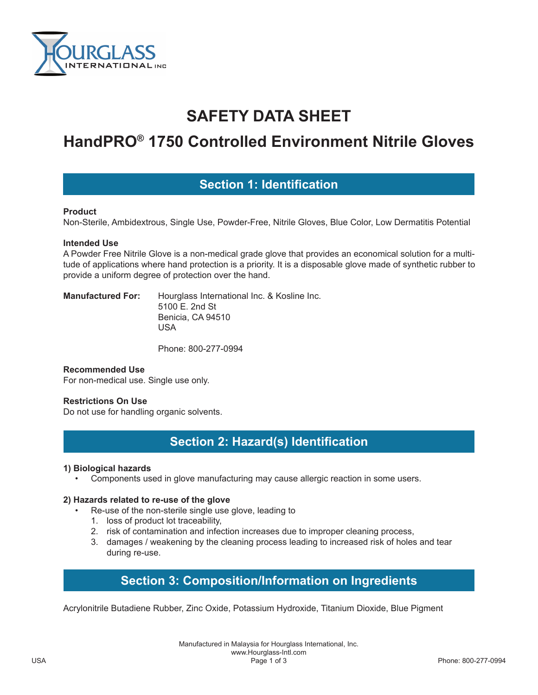

# **SAFETY DATA SHEET**

# **HandPRO® 1750 Controlled Environment Nitrile Gloves**

### **Section 1: Identification**

#### **Product**

Non-Sterile, Ambidextrous, Single Use, Powder-Free, Nitrile Gloves, Blue Color, Low Dermatitis Potential

#### **Intended Use**

A Powder Free Nitrile Glove is a non-medical grade glove that provides an economical solution for a multitude of applications where hand protection is a priority. It is a disposable glove made of synthetic rubber to provide a uniform degree of protection over the hand.

**Manufactured For:** Hourglass International Inc. & Kosline Inc. 5100 E. 2nd St Benicia, CA 94510 USA

Phone: 800-277-0994

#### **Recommended Use**

For non-medical use. Single use only.

#### **Restrictions On Use**

Do not use for handling organic solvents.

# **Section 2: Hazard(s) Identification**

#### **1) Biological hazards**

• Components used in glove manufacturing may cause allergic reaction in some users.

#### **2) Hazards related to re-use of the glove**

- Re-use of the non-sterile single use glove, leading to
	- 1. loss of product lot traceability,
	- 2. risk of contamination and infection increases due to improper cleaning process,
	- 3. damages / weakening by the cleaning process leading to increased risk of holes and tear during re-use.

## **Section 3: Composition/Information on Ingredients**

Acrylonitrile Butadiene Rubber, Zinc Oxide, Potassium Hydroxide, Titanium Dioxide, Blue Pigment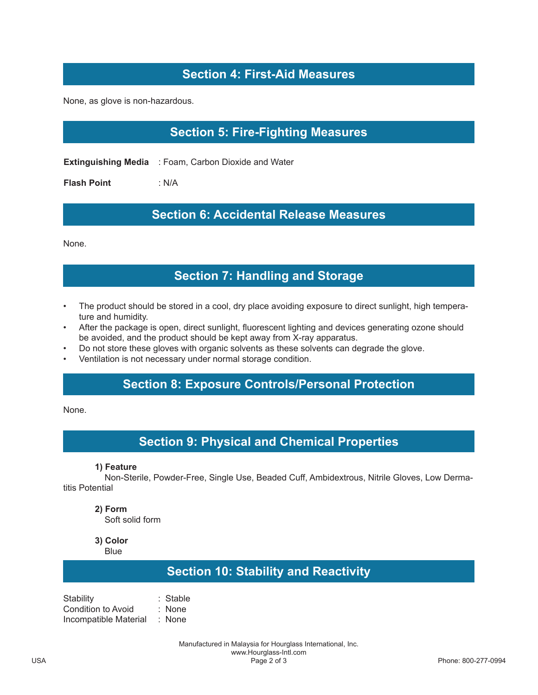# **Section 4: First-Aid Measures**

None, as glove is non-hazardous.

# **Section 5: Fire-Fighting Measures**

**Extinguishing Media** : Foam, Carbon Dioxide and Water

**Flash Point** : N/A

### **Section 6: Accidental Release Measures**

None.

### **Section 7: Handling and Storage**

- The product should be stored in a cool, dry place avoiding exposure to direct sunlight, high temperature and humidity.
- After the package is open, direct sunlight, fluorescent lighting and devices generating ozone should be avoided, and the product should be kept away from X-ray apparatus.
- Do not store these gloves with organic solvents as these solvents can degrade the glove.
- Ventilation is not necessary under normal storage condition.

## **Section 8: Exposure Controls/Personal Protection**

None.

### **Section 9: Physical and Chemical Properties**

#### **1) Feature**

 Non-Sterile, Powder-Free, Single Use, Beaded Cuff, Ambidextrous, Nitrile Gloves, Low Dermatitis Potential

#### **2) Form**

Soft solid form

**3) Color**

**Blue** 

### **Section 10: Stability and Reactivity**

Stability : Stable Condition to Avoid : None Incompatible Material : None

> Manufactured in Malaysia for Hourglass International, Inc. www.Hourglass-Intl.com<br>Page 2 of 3